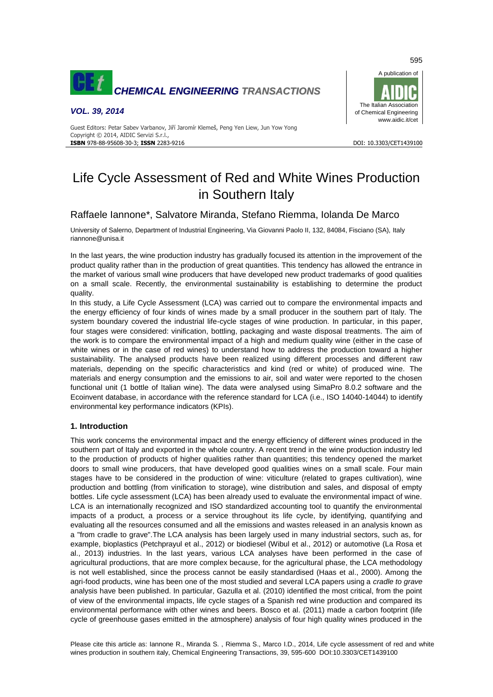

## *VOL. 39, 2014*



#### Guest Editors: Petar Sabev Varbanov, Jiří Jaromír Klemeš, Peng Yen Liew, Jun Yow Yong Copyright © 2014, AIDIC Servizi S.r.l., **ISBN** 978-88-95608-30-3; **ISSN** 2283-9216 DOI: 10.3303/CET1439100

# Life Cycle Assessment of Red and White Wines Production in Southern Italy

# Raffaele Iannone\*, Salvatore Miranda, Stefano Riemma, Iolanda De Marco

University of Salerno, Department of Industrial Engineering, Via Giovanni Paolo II, 132, 84084, Fisciano (SA), Italy riannone@unisa.it

In the last years, the wine production industry has gradually focused its attention in the improvement of the product quality rather than in the production of great quantities. This tendency has allowed the entrance in the market of various small wine producers that have developed new product trademarks of good qualities on a small scale. Recently, the environmental sustainability is establishing to determine the product quality.

In this study, a Life Cycle Assessment (LCA) was carried out to compare the environmental impacts and the energy efficiency of four kinds of wines made by a small producer in the southern part of Italy. The system boundary covered the industrial life-cycle stages of wine production. In particular, in this paper, four stages were considered: vinification, bottling, packaging and waste disposal treatments. The aim of the work is to compare the environmental impact of a high and medium quality wine (either in the case of white wines or in the case of red wines) to understand how to address the production toward a higher sustainability. The analysed products have been realized using different processes and different raw materials, depending on the specific characteristics and kind (red or white) of produced wine. The materials and energy consumption and the emissions to air, soil and water were reported to the chosen functional unit (1 bottle of Italian wine). The data were analysed using SimaPro 8.0.2 software and the Ecoinvent database, in accordance with the reference standard for LCA (i.e., ISO 14040-14044) to identify environmental key performance indicators (KPIs).

## **1. Introduction**

This work concerns the environmental impact and the energy efficiency of different wines produced in the southern part of Italy and exported in the whole country. A recent trend in the wine production industry led to the production of products of higher qualities rather than quantities; this tendency opened the market doors to small wine producers, that have developed good qualities wines on a small scale. Four main stages have to be considered in the production of wine: viticulture (related to grapes cultivation), wine production and bottling (from vinification to storage), wine distribution and sales, and disposal of empty bottles. Life cycle assessment (LCA) has been already used to evaluate the environmental impact of wine. LCA is an internationally recognized and ISO standardized accounting tool to quantify the environmental impacts of a product, a process or a service throughout its life cycle, by identifying, quantifying and evaluating all the resources consumed and all the emissions and wastes released in an analysis known as a "from cradle to grave".The LCA analysis has been largely used in many industrial sectors, such as, for example, bioplastics (Petchprayul et al., 2012) or biodiesel (Wibul et al., 2012) or automotive (La Rosa et al., 2013) industries. In the last years, various LCA analyses have been performed in the case of agricultural productions, that are more complex because, for the agricultural phase, the LCA methodology is not well established, since the process cannot be easily standardised (Haas et al., 2000). Among the agri-food products, wine has been one of the most studied and several LCA papers using a *cradle to grave* analysis have been published. In particular, Gazulla et al. (2010) identified the most critical, from the point of view of the environmental impacts, life cycle stages of a Spanish red wine production and compared its environmental performance with other wines and beers. Bosco et al. (2011) made a carbon footprint (life cycle of greenhouse gases emitted in the atmosphere) analysis of four high quality wines produced in the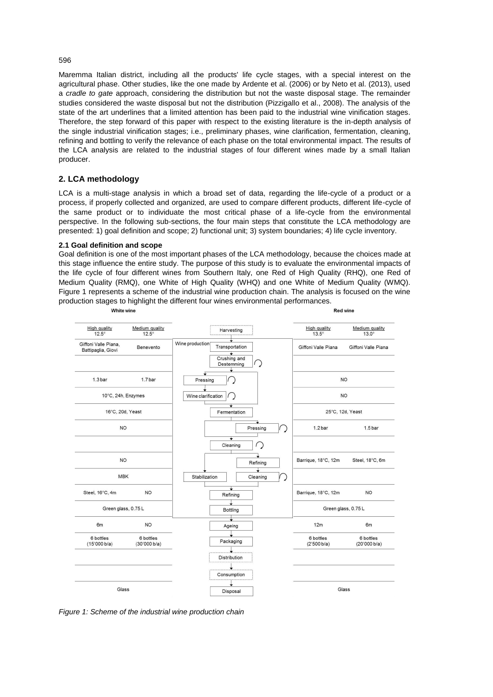## 596

Maremma Italian district, including all the products' life cycle stages, with a special interest on the agricultural phase. Other studies, like the one made by Ardente et al. (2006) or by Neto et al. (2013), used a *cradle to gate* approach, considering the distribution but not the waste disposal stage. The remainder studies considered the waste disposal but not the distribution (Pizzigallo et al., 2008). The analysis of the state of the art underlines that a limited attention has been paid to the industrial wine vinification stages. Therefore, the step forward of this paper with respect to the existing literature is the in-depth analysis of the single industrial vinification stages; i.e., preliminary phases, wine clarification, fermentation, cleaning, refining and bottling to verify the relevance of each phase on the total environmental impact. The results of the LCA analysis are related to the industrial stages of four different wines made by a small Italian producer.

## **2. LCA methodology**

LCA is a multi-stage analysis in which a broad set of data, regarding the life-cycle of a product or a process, if properly collected and organized, are used to compare different products, different life-cycle of the same product or to individuate the most critical phase of a life-cycle from the environmental perspective. In the following sub-sections, the four main steps that constitute the LCA methodology are presented: 1) goal definition and scope; 2) functional unit; 3) system boundaries; 4) life cycle inventory.

#### **2.1 Goal definition and scope**

Goal definition is one of the most important phases of the LCA methodology, because the choices made at this stage influence the entire study. The purpose of this study is to evaluate the environmental impacts of the life cycle of four different wines from Southern Italy, one Red of High Quality (RHQ), one Red of Medium Quality (RMQ), one White of High Quality (WHQ) and one White of Medium Quality (WMQ). Figure 1 represents a scheme of the industrial wine production chain. The analysis is focused on the wine production stages to highlight the different four wines environmental performances.



*Figure 1: Scheme of the industrial wine production chain*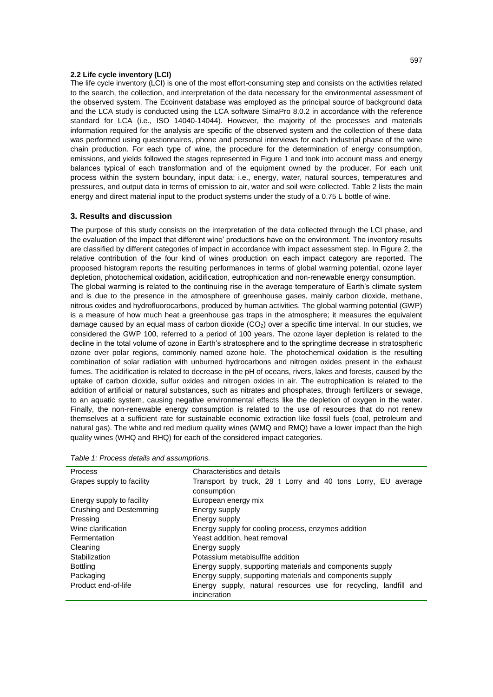## **2.2 Life cycle inventory (LCI)**

The life cycle inventory (LCI) is one of the most effort-consuming step and consists on the activities related to the search, the collection, and interpretation of the data necessary for the environmental assessment of the observed system. The Ecoinvent database was employed as the principal source of background data and the LCA study is conducted using the LCA software SimaPro 8.0.2 in accordance with the reference standard for LCA (i.e., ISO 14040-14044). However, the majority of the processes and materials information required for the analysis are specific of the observed system and the collection of these data was performed using questionnaires, phone and personal interviews for each industrial phase of the wine chain production. For each type of wine, the procedure for the determination of energy consumption, emissions, and yields followed the stages represented in Figure 1 and took into account mass and energy balances typical of each transformation and of the equipment owned by the producer. For each unit process within the system boundary, input data; i.e., energy, water, natural sources, temperatures and pressures, and output data in terms of emission to air, water and soil were collected. Table 2 lists the main energy and direct material input to the product systems under the study of a 0.75 L bottle of wine.

## **3. Results and discussion**

The purpose of this study consists on the interpretation of the data collected through the LCI phase, and the evaluation of the impact that different wine' productions have on the environment. The inventory results are classified by different categories of impact in accordance with impact assessment step. In Figure 2, the relative contribution of the four kind of wines production on each impact category are reported. The proposed histogram reports the resulting performances in terms of global warming potential, ozone layer depletion, photochemical oxidation, acidification, eutrophication and non-renewable energy consumption. The global warming is related to the continuing rise in the average temperature of Earth's climate system and is due to the presence in the atmosphere of greenhouse gases, mainly carbon dioxide, methane, nitrous oxides and hydrofluorocarbons, produced by human activities. The global warming potential (GWP) is a measure of how much heat a greenhouse gas traps in the atmosphere; it measures the equivalent damage caused by an equal mass of carbon dioxide  $(CO<sub>2</sub>)$  over a specific time interval. In our studies, we considered the GWP 100, referred to a period of 100 years. The ozone layer depletion is related to the decline in the total volume of ozone in Earth's stratosphere and to the springtime decrease in stratospheric ozone over polar regions, commonly named ozone hole. The photochemical oxidation is the resulting combination of solar radiation with unburned hydrocarbons and nitrogen oxides present in the exhaust fumes. The acidification is related to decrease in the pH of oceans, rivers, lakes and forests, caused by the uptake of carbon dioxide, sulfur oxides and nitrogen oxides in air. The eutrophication is related to the addition of artificial or natural substances, such as [nitrates](http://en.wikipedia.org/wiki/Nitrate) and [phosphates,](http://en.wikipedia.org/wiki/Phosphate) through [fertilizers](http://en.wikipedia.org/wiki/Fertilizer) or [sewage,](http://en.wikipedia.org/wiki/Sewage) to an aquatic system, causing negative environmental effects like the depletion of oxygen in the water. Finally, the non-renewable energy consumption is related to the use of resources that do not renew themselves at a sufficient rate for sustainable economic extraction like fossil fuels (coal, petroleum and natural gas). The white and red medium quality wines (WMQ and RMQ) have a lower impact than the high quality wines (WHQ and RHQ) for each of the considered impact categories.

| Process                   | Characteristics and details                                      |  |  |  |  |
|---------------------------|------------------------------------------------------------------|--|--|--|--|
| Grapes supply to facility | Transport by truck, 28 t Lorry and 40 tons Lorry, EU average     |  |  |  |  |
|                           | consumption                                                      |  |  |  |  |
| Energy supply to facility | European energy mix                                              |  |  |  |  |
| Crushing and Destemming   | Energy supply                                                    |  |  |  |  |
| Pressing                  | Energy supply                                                    |  |  |  |  |
| Wine clarification        | Energy supply for cooling process, enzymes addition              |  |  |  |  |
| Fermentation              | Yeast addition, heat removal                                     |  |  |  |  |
| Cleaning                  | Energy supply                                                    |  |  |  |  |
| Stabilization             | Potassium metabisulfite addition                                 |  |  |  |  |
| <b>Bottling</b>           | Energy supply, supporting materials and components supply        |  |  |  |  |
| Packaging                 | Energy supply, supporting materials and components supply        |  |  |  |  |
| Product end-of-life       | Energy supply, natural resources use for recycling, landfill and |  |  |  |  |
|                           | incineration                                                     |  |  |  |  |

| Table 1: Process details and assumptions. |
|-------------------------------------------|
|-------------------------------------------|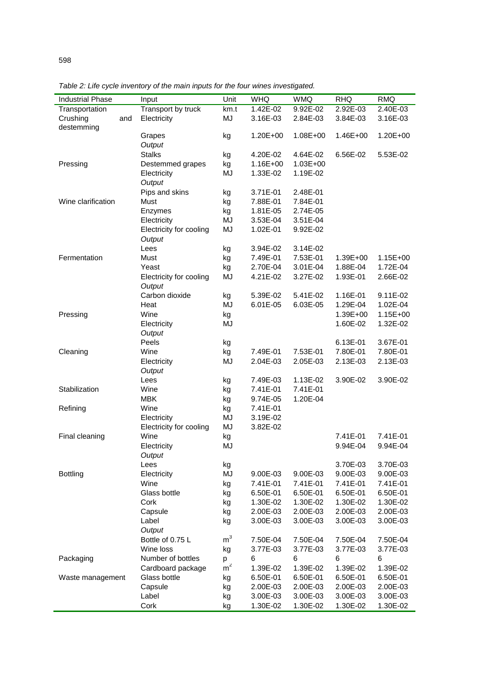|  | Table 2: Life cycle inventory of the main inputs for the four wines investigated. |
|--|-----------------------------------------------------------------------------------|
|  |                                                                                   |

| <b>Industrial Phase</b>   |                                   | Input                 | Unit     | <b>WHQ</b> | <b>WMQ</b>   | <b>RHQ</b> | <b>RMQ</b> |
|---------------------------|-----------------------------------|-----------------------|----------|------------|--------------|------------|------------|
| Transportation            |                                   | Transport by truck    | km.t     | 1.42E-02   | 9.92E-02     | 2.92E-03   | 2.40E-03   |
| Crushing<br>destemming    | and                               | Electricity           | MJ       | 3.16E-03   | 2.84E-03     | 3.84E-03   | 3.16E-03   |
|                           |                                   | Grapes<br>Output      | kg       | 1.20E+00   | 1.08E+00     | 1.46E+00   | 1.20E+00   |
|                           |                                   | <b>Stalks</b>         | kg       | 4.20E-02   | 4.64E-02     | 6.56E-02   | 5.53E-02   |
| Pressing                  |                                   | Destemmed grapes      | kg       | 1.16E+00   | $1.03E + 00$ |            |            |
|                           |                                   | Electricity<br>Output | MJ       | 1.33E-02   | 1.19E-02     |            |            |
|                           |                                   | Pips and skins        | kg       | 3.71E-01   | 2.48E-01     |            |            |
| Wine clarification        |                                   | Must                  | kg       | 7.88E-01   | 7.84E-01     |            |            |
|                           | Enzymes                           | kg                    | 1.81E-05 | 2.74E-05   |              |            |            |
|                           | Electricity                       | MJ                    | 3.53E-04 | 3.51E-04   |              |            |            |
|                           | Electricity for cooling<br>Output | MJ                    | 1.02E-01 | 9.92E-02   |              |            |            |
|                           | Lees                              | kg                    | 3.94E-02 | 3.14E-02   |              |            |            |
| Fermentation              |                                   | Must                  | kg       | 7.49E-01   | 7.53E-01     | 1.39E+00   | 1.15E+00   |
|                           | Yeast                             | kg                    | 2.70E-04 | 3.01E-04   | 1.88E-04     | 1.72E-04   |            |
|                           | Electricity for cooling<br>Output | MJ                    | 4.21E-02 | 3.27E-02   | 1.93E-01     | 2.66E-02   |            |
|                           |                                   | Carbon dioxide        | kg       | 5.39E-02   | 5.41E-02     | 1.16E-01   | 9.11E-02   |
|                           |                                   | Heat                  | MJ       | 6.01E-05   | 6.03E-05     | 1.29E-04   | 1.02E-04   |
| Pressing                  |                                   | Wine                  | kg       |            |              | 1.39E+00   | 1.15E+00   |
|                           | Electricity                       | MJ                    |          |            | 1.60E-02     | 1.32E-02   |            |
|                           |                                   | Output                |          |            |              |            |            |
|                           |                                   | Peels                 | kg       |            |              | 6.13E-01   | 3.67E-01   |
| Cleaning                  | Wine                              | kg                    | 7.49E-01 | 7.53E-01   | 7.80E-01     | 7.80E-01   |            |
|                           | Electricity<br>Output             | MJ                    | 2.04E-03 | 2.05E-03   | 2.13E-03     | 2.13E-03   |            |
|                           |                                   | Lees                  | kg       | 7.49E-03   | 1.13E-02     | 3.90E-02   | 3.90E-02   |
| Stabilization<br>Refining | Wine                              | kg                    | 7.41E-01 | 7.41E-01   |              |            |            |
|                           | <b>MBK</b>                        | kg                    | 9.74E-05 | 1.20E-04   |              |            |            |
|                           | Wine                              | kg                    | 7.41E-01 |            |              |            |            |
|                           | Electricity                       | MJ                    | 3.19E-02 |            |              |            |            |
|                           | Electricity for cooling           | MJ                    | 3.82E-02 |            |              |            |            |
| Final cleaning            | Wine                              | kg                    |          |            | 7.41E-01     | 7.41E-01   |            |
|                           |                                   | Electricity<br>Output | MJ       |            |              | 9.94E-04   | 9.94E-04   |
|                           |                                   | Lees                  | kg       |            |              | 3.70E-03   | 3.70E-03   |
| <b>Bottling</b>           | Electricity                       | MJ                    | 9.00E-03 | 9.00E-03   | 9.00E-03     | 9.00E-03   |            |
|                           | Wine                              | kg                    | 7.41E-01 | 7.41E-01   | 7.41E-01     | 7.41E-01   |            |
|                           | Glass bottle                      | kg                    | 6.50E-01 | 6.50E-01   | 6.50E-01     | 6.50E-01   |            |
|                           |                                   | Cork                  | kg       | 1.30E-02   | 1.30E-02     | 1.30E-02   | 1.30E-02   |
|                           | Capsule                           | kg                    | 2.00E-03 | 2.00E-03   | 2.00E-03     | 2.00E-03   |            |
|                           |                                   | Label                 | kg       | 3.00E-03   | 3.00E-03     | 3.00E-03   | 3.00E-03   |
|                           | Output                            |                       |          |            |              |            |            |
|                           | Bottle of 0.75 L                  | m <sup>3</sup>        | 7.50E-04 | 7.50E-04   | 7.50E-04     | 7.50E-04   |            |
|                           | Wine loss                         | kg                    | 3.77E-03 | 3.77E-03   | 3.77E-03     | 3.77E-03   |            |
| Packaging                 | Number of bottles                 | p                     | 6        | 6          | 6            | 6          |            |
|                           | Cardboard package                 | $\rm \dot{m}^2$       | 1.39E-02 | 1.39E-02   | 1.39E-02     | 1.39E-02   |            |
| Waste management          |                                   | Glass bottle          | kg       | 6.50E-01   | 6.50E-01     | 6.50E-01   | 6.50E-01   |
|                           | Capsule                           | kg                    | 2.00E-03 | 2.00E-03   | 2.00E-03     | 2.00E-03   |            |
|                           | Label                             | kg                    | 3.00E-03 | 3.00E-03   | 3.00E-03     | 3.00E-03   |            |
|                           | Cork                              | kg                    | 1.30E-02 | 1.30E-02   | 1.30E-02     | 1.30E-02   |            |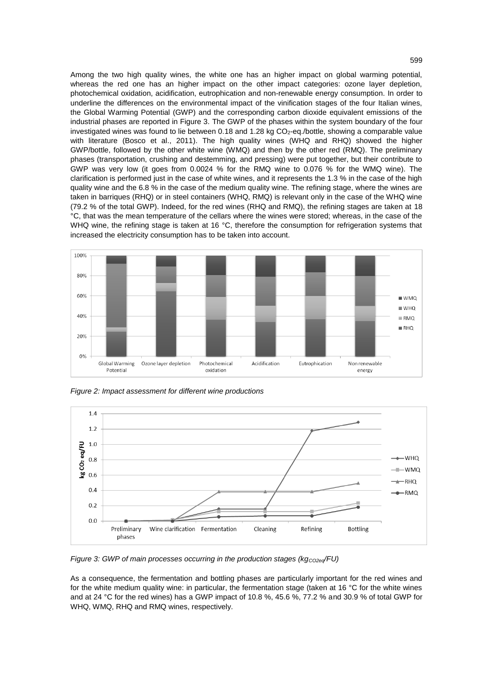Among the two high quality wines, the white one has an higher impact on global warming potential, whereas the red one has an higher impact on the other impact categories: ozone layer depletion, photochemical oxidation, acidification, eutrophication and non-renewable energy consumption. In order to underline the differences on the environmental impact of the vinification stages of the four Italian wines, the Global Warming Potential (GWP) and the corresponding carbon dioxide equivalent emissions of the industrial phases are reported in Figure 3. The GWP of the phases within the system boundary of the four investigated wines was found to lie between 0.18 and 1.28 kg CO<sub>2</sub>-eq./bottle, showing a comparable value with literature (Bosco et al., 2011). The high quality wines (WHQ and RHQ) showed the higher GWP/bottle, followed by the other white wine (WMQ) and then by the other red (RMQ). The preliminary phases (transportation, crushing and destemming, and pressing) were put together, but their contribute to GWP was very low (it goes from 0.0024 % for the RMQ wine to 0.076 % for the WMQ wine). The clarification is performed just in the case of white wines, and it represents the 1.3 % in the case of the high quality wine and the 6.8 % in the case of the medium quality wine. The refining stage, where the wines are taken in barriques (RHQ) or in steel containers (WHQ, RMQ) is relevant only in the case of the WHQ wine (79.2 % of the total GWP). Indeed, for the red wines (RHQ and RMQ), the refining stages are taken at 18 °C, that was the mean temperature of the cellars where the wines were stored; whereas, in the case of the WHQ wine, the refining stage is taken at 16 °C, therefore the consumption for refrigeration systems that increased the electricity consumption has to be taken into account.



*Figure 2: Impact assessment for different wine productions*



*Figure 3: GWP of main processes occurring in the production stages (kg<sub><i>CO2eq</sub>*/FU)</sub>

As a consequence, the fermentation and bottling phases are particularly important for the red wines and for the white medium quality wine: in particular, the fermentation stage (taken at 16 °C for the white wines and at 24 °C for the red wines) has a GWP impact of 10.8 %, 45.6 %, 77.2 % and 30.9 % of total GWP for WHQ, WMQ, RHQ and RMQ wines, respectively.

## 599